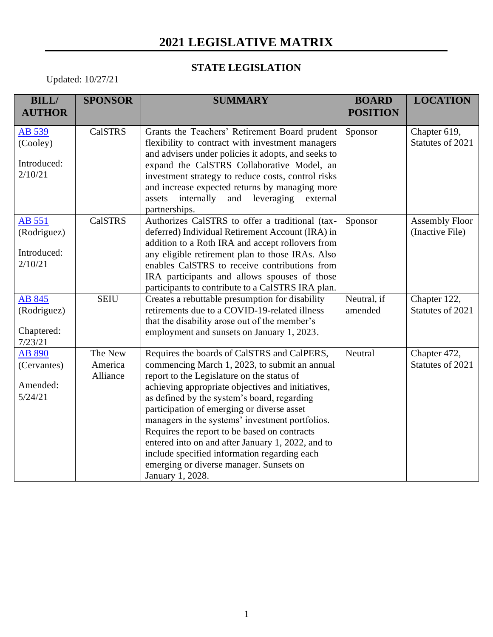## **2021 LEGISLATIVE MATRIX**

## **STATE LEGISLATION**

Updated: 10/27/21

| <b>BILL/</b><br><b>AUTHOR</b>                   | <b>SPONSOR</b>                 | <b>SUMMARY</b>                                                                                                                                                                                                                                                                                                                                                                                                                                                                                                                                                      | <b>BOARD</b><br><b>POSITION</b> | <b>LOCATION</b>                          |
|-------------------------------------------------|--------------------------------|---------------------------------------------------------------------------------------------------------------------------------------------------------------------------------------------------------------------------------------------------------------------------------------------------------------------------------------------------------------------------------------------------------------------------------------------------------------------------------------------------------------------------------------------------------------------|---------------------------------|------------------------------------------|
| AB 539<br>(Cooley)<br>Introduced:<br>2/10/21    | <b>CalSTRS</b>                 | Grants the Teachers' Retirement Board prudent<br>flexibility to contract with investment managers<br>and advisers under policies it adopts, and seeks to<br>expand the CalSTRS Collaborative Model, an<br>investment strategy to reduce costs, control risks<br>and increase expected returns by managing more<br>internally<br>leveraging<br>and<br>external<br>assets<br>partnerships.                                                                                                                                                                            | Sponsor                         | Chapter 619,<br>Statutes of 2021         |
| AB 551<br>(Rodriguez)<br>Introduced:<br>2/10/21 | <b>CalSTRS</b>                 | Authorizes CalSTRS to offer a traditional (tax-<br>deferred) Individual Retirement Account (IRA) in<br>addition to a Roth IRA and accept rollovers from<br>any eligible retirement plan to those IRAs. Also<br>enables CalSTRS to receive contributions from<br>IRA participants and allows spouses of those<br>participants to contribute to a CalSTRS IRA plan.                                                                                                                                                                                                   | Sponsor                         | <b>Assembly Floor</b><br>(Inactive File) |
| AB 845<br>(Rodriguez)<br>Chaptered:<br>7/23/21  | <b>SEIU</b>                    | Creates a rebuttable presumption for disability<br>retirements due to a COVID-19-related illness<br>that the disability arose out of the member's<br>employment and sunsets on January 1, 2023.                                                                                                                                                                                                                                                                                                                                                                     | Neutral, if<br>amended          | Chapter 122,<br>Statutes of 2021         |
| AB 890<br>(Cervantes)<br>Amended:<br>5/24/21    | The New<br>America<br>Alliance | Requires the boards of CalSTRS and CalPERS,<br>commencing March 1, 2023, to submit an annual<br>report to the Legislature on the status of<br>achieving appropriate objectives and initiatives,<br>as defined by the system's board, regarding<br>participation of emerging or diverse asset<br>managers in the systems' investment portfolios.<br>Requires the report to be based on contracts<br>entered into on and after January 1, 2022, and to<br>include specified information regarding each<br>emerging or diverse manager. Sunsets on<br>January 1, 2028. | Neutral                         | Chapter 472,<br>Statutes of 2021         |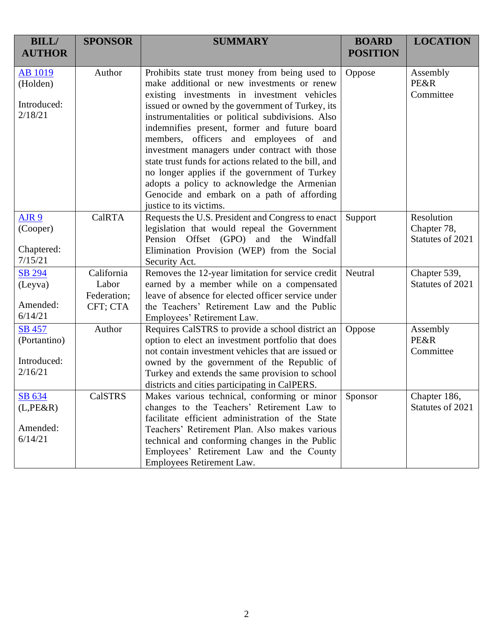| <b>BILL/</b><br><b>AUTHOR</b>                         | <b>SPONSOR</b>                                 | <b>SUMMARY</b>                                                                                                                                                                                                                                                                                                                                                                                                                                                                                                                                                                                                                      | <b>BOARD</b><br><b>POSITION</b> | <b>LOCATION</b>                               |
|-------------------------------------------------------|------------------------------------------------|-------------------------------------------------------------------------------------------------------------------------------------------------------------------------------------------------------------------------------------------------------------------------------------------------------------------------------------------------------------------------------------------------------------------------------------------------------------------------------------------------------------------------------------------------------------------------------------------------------------------------------------|---------------------------------|-----------------------------------------------|
| <b>AB</b> 1019<br>(Holden)<br>Introduced:<br>2/18/21  | Author                                         | Prohibits state trust money from being used to<br>make additional or new investments or renew<br>existing investments in investment vehicles<br>issued or owned by the government of Turkey, its<br>instrumentalities or political subdivisions. Also<br>indemnifies present, former and future board<br>members, officers and employees of and<br>investment managers under contract with those<br>state trust funds for actions related to the bill, and<br>no longer applies if the government of Turkey<br>adopts a policy to acknowledge the Armenian<br>Genocide and embark on a path of affording<br>justice to its victims. | Oppose                          | Assembly<br><b>PE&amp;R</b><br>Committee      |
| AJR <sub>9</sub><br>(Cooper)<br>Chaptered:<br>7/15/21 | <b>CalRTA</b>                                  | Requests the U.S. President and Congress to enact<br>legislation that would repeal the Government<br>Pension Offset (GPO) and the Windfall<br>Elimination Provision (WEP) from the Social<br>Security Act.                                                                                                                                                                                                                                                                                                                                                                                                                          | Support                         | Resolution<br>Chapter 78,<br>Statutes of 2021 |
| SB 294<br>(Leyva)<br>Amended:<br>6/14/21              | California<br>Labor<br>Federation;<br>CFT; CTA | Removes the 12-year limitation for service credit<br>earned by a member while on a compensated<br>leave of absence for elected officer service under<br>the Teachers' Retirement Law and the Public<br>Employees' Retirement Law.                                                                                                                                                                                                                                                                                                                                                                                                   | Neutral                         | Chapter 539,<br>Statutes of 2021              |
| SB 457<br>(Portantino)<br>Introduced:<br>2/16/21      | Author                                         | Requires CalSTRS to provide a school district an<br>option to elect an investment portfolio that does<br>not contain investment vehicles that are issued or<br>owned by the government of the Republic of<br>Turkey and extends the same provision to school<br>districts and cities participating in CalPERS.                                                                                                                                                                                                                                                                                                                      | Oppose                          | Assembly<br><b>PE&amp;R</b><br>Committee      |
| SB 634<br>$(L,PE\&R)$<br>Amended:<br>6/14/21          | <b>CalSTRS</b>                                 | Makes various technical, conforming or minor<br>changes to the Teachers' Retirement Law to<br>facilitate efficient administration of the State<br>Teachers' Retirement Plan. Also makes various<br>technical and conforming changes in the Public<br>Employees' Retirement Law and the County<br>Employees Retirement Law.                                                                                                                                                                                                                                                                                                          | Sponsor                         | Chapter 186,<br>Statutes of 2021              |